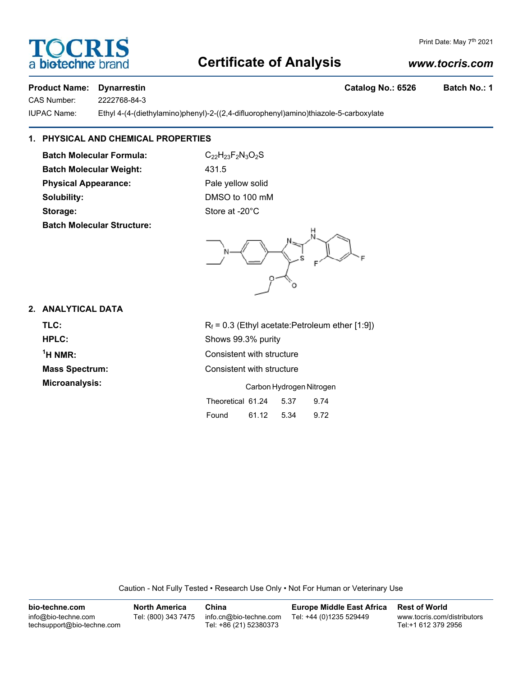# **Certificate of Analysis**

# *www.tocris.com*

Print Date: May 7<sup>th</sup> 2021

# Product Name: Dynarrestin **Catalog No.: 6526** Batch No.: 1

CAS Number: 2222768-84-3

IUPAC Name: Ethyl 4-(4-(diethylamino)phenyl)-2-((2,4-difluorophenyl)amino)thiazole-5-carboxylate

# **1. PHYSICAL AND CHEMICAL PROPERTIES**

**Batch Molecular Formula:** C<sub>22</sub>H<sub>23</sub>F<sub>2</sub>N<sub>3</sub>O<sub>2</sub>S **Batch Molecular Weight:** 431.5 **Physical Appearance:** Pale yellow solid **Solubility:** DMSO to 100 mM Storage: Storage: Store at -20°C **Batch Molecular Structure:**

### **2. ANALYTICAL DATA**

**TLC:**  $R_f = 0.3$  (Ethyl acetate:Petroleum ether [1:9]) **HPLC:** Shows 99.3% purity  $<sup>1</sup>H NMR$ :</sup> **Consistent with structure Mass Spectrum:** Consistent with structure **Microanalysis:** Carbon Hydrogen Nitrogen

Theoretical 61.24 5.37 9.74 Found 61.12 5.34 9.72

Caution - Not Fully Tested • Research Use Only • Not For Human or Veterinary Use

| bio-techne.com                                    | <b>North America</b> | China                                            | <b>Europe Middle East Africa</b> | <b>Rest of World</b>                               |
|---------------------------------------------------|----------------------|--------------------------------------------------|----------------------------------|----------------------------------------------------|
| info@bio-techne.com<br>techsupport@bio-techne.com | Tel: (800) 343 7475  | info.cn@bio-techne.com<br>Tel: +86 (21) 52380373 | Tel: +44 (0)1235 529449          | www.tocris.com/distributors<br>Tel:+1 612 379 2956 |

OCRI a **biotechne** b